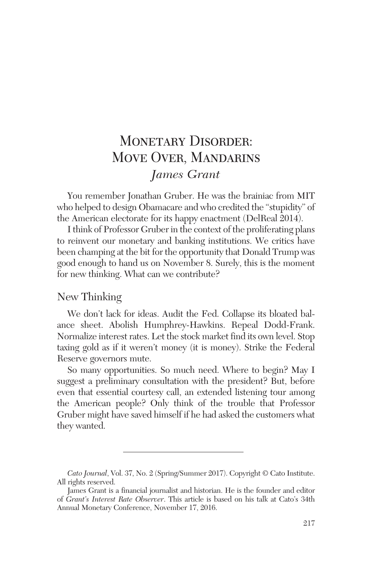# MONETARY DISORDER: Move Over, Mandarins *James Grant*

You remember Jonathan Gruber. He was the brainiac from MIT who helped to design Obamacare and who credited the "stupidity" of the American electorate for its happy enactment (DelReal 2014).

Ithink of Professor Gruber in the context of the proliferating plans to reinvent our monetary and banking institutions. We critics have been champing at the bit for the opportunity that Donald Trump was good enough to hand us on November 8. Surely, this is the moment for new thinking. What can we contribute?

# New Thinking

We don't lack for ideas. Audit the Fed. Collapse its bloated balance sheet. Abolish Humphrey-Hawkins. Repeal Dodd-Frank. Normalize interest rates. Let the stock market find its own level. Stop taxing gold as if it weren't money (it is money). Strike the Federal Reserve governors mute.

So many opportunities. So much need. Where to begin? May I suggest a preliminary consultation with the president? But, before even that essential courtesy call, an extended listening tour among the American people? Only think of the trouble that Professor Gruber might have saved himself if he had asked the customers what they wanted.

*Cato Journal*, Vol. 37, No. 2 (Spring/Summer 2017). Copyright © Cato Institute. All rights reserved.

James Grant is a financial journalist and historian. He is the founder and editor of *Grant's Interest Rate Observer*. This article is based on his talk at Cato's 34th Annual Monetary Conference, November 17, 2016.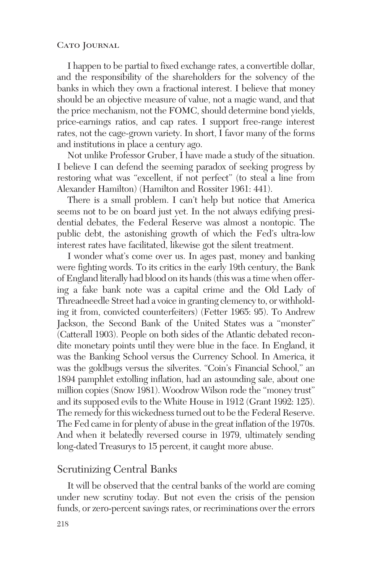#### CATO JOURNAL

I happen to be partial to fixed exchange rates, a convertible dollar, and the responsibility of the shareholders for the solvency of the banks in which they own a fractional interest. I believe that money should be an objective measure of value, not a magic wand, and that the price mechanism, not the FOMC, should determine bond yields, price-earnings ratios, and cap rates. I support free-range interest rates, not the cage-grown variety. In short, I favor many of the forms and institutions in place a century ago.

Not unlike Professor Gruber, I have made a study of the situation. I believe I can defend the seeming paradox of seeking progress by restoring what was "excellent, if not perfect" (to steal a line from Alexander Hamilton) (Hamilton and Rossiter 1961: 441).

There is a small problem. I can't help but notice that America seems not to be on board just yet. In the not always edifying presidential debates, the Federal Reserve was almost a nontopic. The public debt, the astonishing growth of which the Fed's ultra-low interest rates have facilitated, likewise got the silent treatment.

I wonder what's come over us. In ages past, money and banking were fighting words. To its critics in the early 19th century, the Bank of England literally had blood on its hands (this was a time when offering a fake bank note was a capital crime and the Old Lady of Threadneedle Street had a voice in granting clemency to, or withholding it from, convicted counterfeiters) (Fetter 1965: 95). To Andrew Jackson, the Second Bank of the United States was a "monster" (Catterall 1903). People on both sides of the Atlantic debated recondite monetary points until they were blue in the face. In England, it was the Banking School versus the Currency School. In America, it was the goldbugs versus the silverites. "Coin's Financial School," an 1894 pamphlet extolling inflation, had an astounding sale, about one million copies (Snow 1981). Woodrow Wilson rode the "money trust" and its supposed evils to the White House in 1912 (Grant 1992: 125). The remedy for this wickedness turned out to be the Federal Reserve. The Fed came in for plenty of abuse in the great inflation of the 1970s. And when it belatedly reversed course in 1979, ultimately sending long-dated Treasurys to 15 percent, it caught more abuse.

### Scrutinizing Central Banks

It will be observed that the central banks of the world are coming under new scrutiny today. But not even the crisis of the pension funds, or zero-percent savings rates, or recriminations over the errors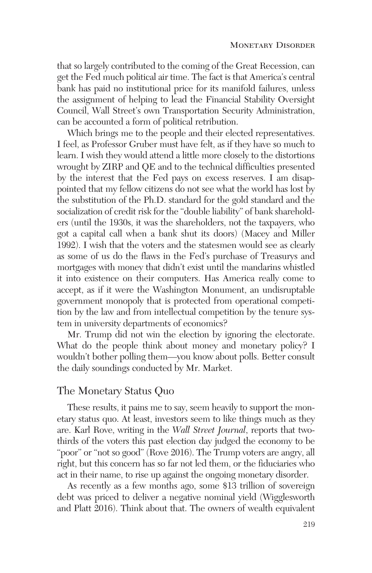that so largely contributed to the coming of the Great Recession, can get the Fed much political air time. The fact is that America's central bank has paid no institutional price for its manifold failures, unless the assignment of helping to lead the Financial Stability Oversight Council, Wall Street's own Transportation Security Administration, can be accounted a form of political retribution.

Which brings me to the people and their elected representatives. I feel, as Professor Gruber must have felt, as if they have so much to learn. I wish they would attend a little more closely to the distortions wrought by ZIRP and QE and to the technical difficulties presented by the interest that the Fed pays on excess reserves. I am disappointed that my fellow citizens do not see what the world has lost by the substitution of the Ph.D. standard for the gold standard and the socialization of credit risk for the "double liability" of bank shareholders (until the 1930s, it was the shareholders, not the taxpayers, who got a capital call when a bank shut its doors) (Macey and Miller 1992). I wish that the voters and the statesmen would see as clearly as some of us do the flaws in the Fed's purchase of Treasurys and mortgages with money that didn't exist until the mandarins whistled it into existence on their computers. Has America really come to accept, as if it were the Washington Monument, an undisruptable government monopoly that is protected from operational competition by the law and from intellectual competition by the tenure system in university departments of economics?

Mr. Trump did not win the election by ignoring the electorate. What do the people think about money and monetary policy? I wouldn't bother polling them—you know about polls. Better consult the daily soundings conducted by Mr. Market.

## The Monetary Status Quo

These results, it pains me to say, seem heavily to support the monetary status quo. At least, investors seem to like things much as they are. Karl Rove, writing in the *Wall Street Journal*, reports that twothirds of the voters this past election day judged the economy to be "poor" or "not so good" (Rove 2016). The Trump voters are angry, all right, but this concern has so far not led them, or the fiduciaries who act in their name, to rise up against the ongoing monetary disorder.

As recently as a few months ago, some \$13 trillion of sovereign debt was priced to deliver a negative nominal yield (Wigglesworth and Platt 2016). Think about that. The owners of wealth equivalent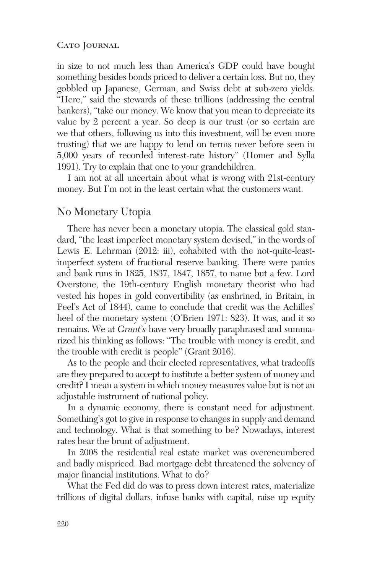#### CATO JOURNAL

in size to not much less than America's GDP could have bought something besides bonds priced to deliver a certain loss. But no, they gobbled up Japanese, German, and Swiss debt at sub-zero yields. "Here," said the stewards of these trillions (addressing the central bankers), "take our money. We know that you mean to depreciate its value by 2 percent a year. So deep is our trust (or so certain are we that others, following us into this investment, will be even more trusting) that we are happy to lend on terms never before seen in 5,000 years of recorded interest-rate history" (Homer and Sylla 1991). Try to explain that one to your grandchildren.

I am not at all uncertain about what is wrong with 21st-century money. But I'm not in the least certain what the customers want.

## No Monetary Utopia

There has never been a monetary utopia. The classical gold standard, "the least imperfect monetary system devised," in the words of Lewis E. Lehrman (2012: iii), cohabited with the not-quite-leastimperfect system of fractional reserve banking. There were panics and bank runs in 1825, 1837, 1847, 1857, to name but a few. Lord Overstone, the 19th-century English monetary theorist who had vested his hopes in gold convertibility (as enshrined, in Britain, in Peel's Act of 1844), came to conclude that credit was the Achilles' heel of the monetary system (O'Brien 1971: 823). It was, and it so remains. We at *Grant's* have very broadly paraphrased and summarized his thinking as follows: "The trouble with money is credit, and the trouble with credit is people" (Grant 2016).

As to the people and their elected representatives, what tradeoffs are they prepared to accept to institute a better system of money and credit? I mean a system in which money measures value but is not an adjustable instrument of national policy.

In a dynamic economy, there is constant need for adjustment. Something's got to give in response to changes in supply and demand and technology. What is that something to be? Nowadays, interest rates bear the brunt of adjustment.

In 2008 the residential real estate market was overencumbered and badly mispriced. Bad mortgage debt threatened the solvency of major financial institutions. What to do?

What the Fed did do was to press down interest rates, materialize trillions of digital dollars, infuse banks with capital, raise up equity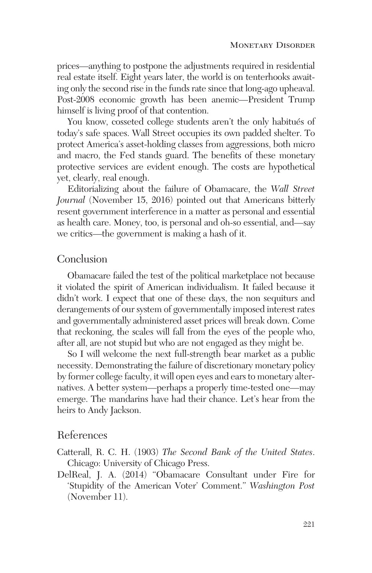prices—anything to postpone the adjustments required in residential real estate itself. Eight years later, the world is on tenterhooks awaiting only the second rise in the funds rate since that long-ago upheaval. Post-2008 economic growth has been anemic—President Trump himself is living proof of that contention.

You know, cosseted college students aren't the only habitués of today's safe spaces. Wall Street occupies its own padded shelter. To protect America's asset-holding classes from aggressions, both micro and macro, the Fed stands guard. The benefits of these monetary protective services are evident enough. The costs are hypothetical yet, clearly, real enough.

Editorializing about the failure of Obamacare, the *Wall Street Journal* (November 15, 2016) pointed out that Americans bitterly resent government interference in a matter as personal and essential as health care. Money, too, is personal and oh-so essential, and—say we critics—the government is making a hash of it.

## Conclusion

Obamacare failed the test of the political marketplace not because it violated the spirit of American individualism. It failed because it didn't work. I expect that one of these days, the non sequiturs and derangements of our system of governmentally imposed interest rates and governmentally administered asset prices will break down. Come that reckoning, the scales will fall from the eyes of the people who, after all, are not stupid but who are not engaged as they might be.

So I will welcome the next full-strength bear market as a public necessity. Demonstrating the failure of discretionary monetary policy by former college faculty, it will open eyes and ears to monetary alternatives. A better system—perhaps a properly time-tested one—may emerge. The mandarins have had their chance. Let's hear from the heirs to Andy Jackson.

# References

Catterall, R. C. H. (1903) *The Second Bank of the United States*. Chicago: University of Chicago Press.

DelReal, J. A. (2014) "Obamacare Consultant under Fire for 'Stupidity of the American Voter' Comment." *Washington Post* (November 11).